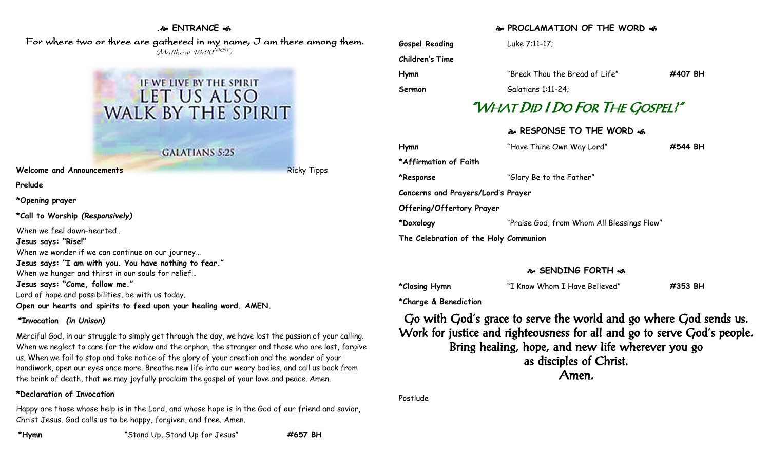#### **. ENTRANCE**

 For where two or three are gathered in my name, I am there among them. (Matthew 18:20<sup>NRSV</sup>)



**Welcome and Announcements** Ricky Tipps Ricky Tipps

**Prelude**

**\*Opening prayer**

**\*Call to Worship** *(Responsively)*

When we feel down-hearted… **Jesus says: "Rise!"** When we wonder if we can continue on our journey… **Jesus says: "I am with you. You have nothing to fear."** When we hunger and thirst in our souls for relief… **Jesus says: "Come, follow me."** Lord of hope and possibilities, be with us today. **Open our hearts and spirits to feed upon your healing word. AMEN.**

#### **\*Invocation** *(in Unison)*

Merciful God, in our struggle to simply get through the day, we have lost the passion of your calling. When we neglect to care for the widow and the orphan, the stranger and those who are lost, forgive us. When we fail to stop and take notice of the glory of your creation and the wonder of your handiwork, open our eyes once more. Breathe new life into our weary bodies, and call us back from the brink of death, that we may joyfully proclaim the gospel of your love and peace. Amen.

#### **\*Declaration of Invocation**

Happy are those whose help is in the Lord, and whose hope is in the God of our friend and savior, Christ Jesus. God calls us to be happy, forgiven, and free. Amen.

### **PROCLAMATION OF THE WORD**

| <b>Gospel Reading</b> | Luke 7:11-17:                   |         |
|-----------------------|---------------------------------|---------|
| Children's Time       |                                 |         |
| Hymn                  | "Break Thou the Bread of Life"  | #407 BH |
| Sermon                | Galatians 1:11-24;              |         |
|                       | "WHAT DID I DO FOR THE GOSPEL!" |         |
|                       | & RESPONSE TO THE WORD &        |         |

| Hymn                                  | "Have Thine Own Way Lord"                  | #544 BH |
|---------------------------------------|--------------------------------------------|---------|
| *Affirmation of Faith                 |                                            |         |
| *Response                             | "Glory Be to the Father"                   |         |
| Concerns and Prayers/Lord's Prayer    |                                            |         |
| Offering/Offertory Prayer             |                                            |         |
| *Doxology                             | "Praise God, from Whom All Blessings Flow" |         |
| The Celebration of the Holy Communion |                                            |         |
|                                       |                                            |         |

## **SENDING FORTH**

| *Closing Hymn | "I Know Whom I Have Believed" | #353 BH |
|---------------|-------------------------------|---------|
|               |                               |         |

**\*Charge & Benediction**

Go with God's grace to serve the world and go where God sends us. Work for justice and righteousness for all and go to serve God's people. Bring healing, hope, and new life wherever you go as disciples of Christ. Amen.

Postlude